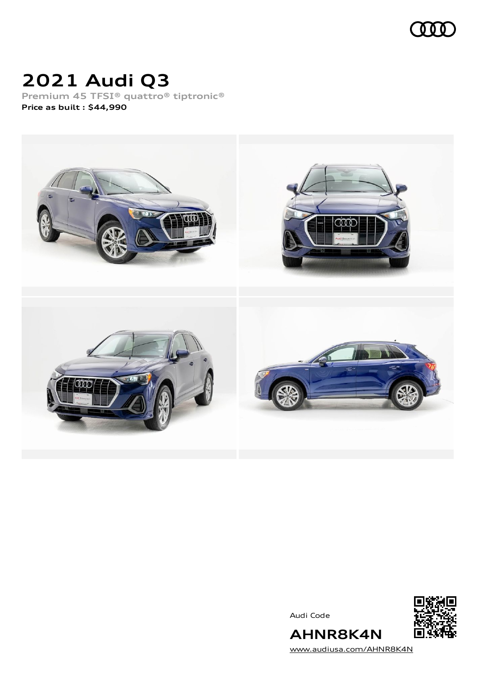

# **2021 Audi Q3**

**Premium 45 TFSI® quattro® tiptronic® Price as built [:](#page-10-0) \$44,990**



Audi Code



[www.audiusa.com/AHNR8K4N](https://www.audiusa.com/AHNR8K4N)

**AHNR8K4N**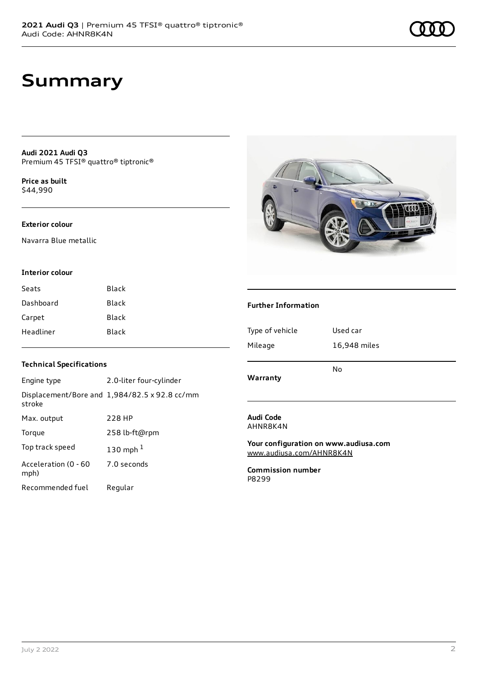### **Summary**

**Audi 2021 Audi Q3** Premium 45 TFSI® quattro® tiptronic®

**Price as buil[t](#page-10-0)** \$44,990

#### **Exterior colour**

Navarra Blue metallic

#### **Interior colour**

| Black |
|-------|
| Black |
| Black |
| Black |
|       |

#### **Technical Specifications**

| Engine type                  | 2.0-liter four-cylinder                              |
|------------------------------|------------------------------------------------------|
| stroke                       | Displacement/Bore and $1,984/82.5 \times 92.8$ cc/mm |
| Max. output                  | 228 HP                                               |
| Torque                       | 258 lb-ft@rpm                                        |
| Top track speed              | 130 mph $1$                                          |
| Acceleration (0 - 60<br>mph) | 7.0 seconds                                          |
| Recommended fuel             | Regular                                              |



#### **Further Information**

| Type of vehicle | Used car     |
|-----------------|--------------|
| Mileage         | 16,948 miles |
| Warranty        | No           |

#### **Audi Code** AHNR8K4N

**Your configuration on www.audiusa.com** [www.audiusa.com/AHNR8K4N](https://www.audiusa.com/AHNR8K4N)

**Commission number** P8299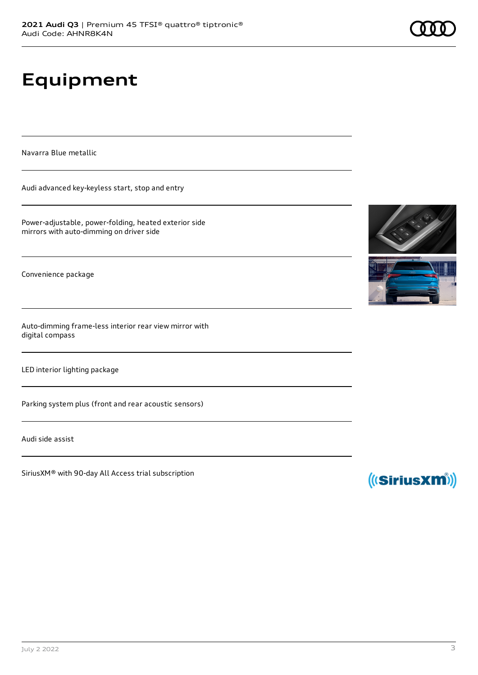# **Equipment**

Navarra Blue metallic

Audi advanced key-keyless start, stop and entry

Power-adjustable, power-folding, heated exterior side mirrors with auto-dimming on driver side

Convenience package

Auto-dimming frame-less interior rear view mirror with digital compass

LED interior lighting package

Parking system plus (front and rear acoustic sensors)

Audi side assist

SiriusXM® with 90-day All Access trial subscription





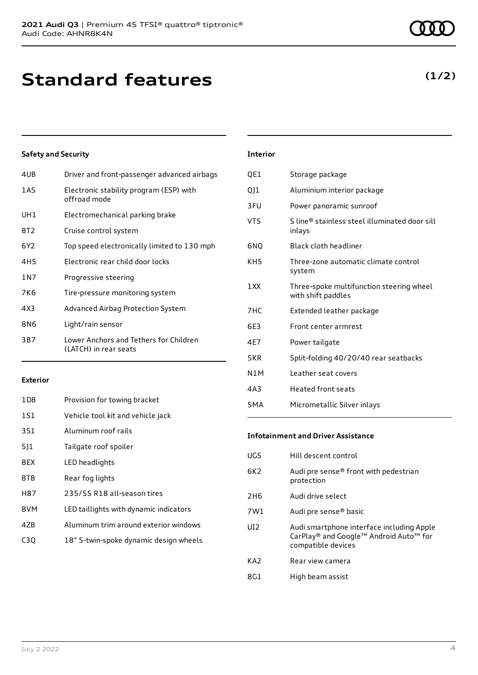## **Standard features**

#### **Safety and Security**

| 4UB             | Driver and front-passenger advanced airbags                     |
|-----------------|-----------------------------------------------------------------|
| 1AS             | Electronic stability program (ESP) with<br>offroad mode         |
| UH1             | Electromechanical parking brake                                 |
| 8T2             | Cruise control system                                           |
| 6Y <sub>2</sub> | Top speed electronically limited to 130 mph                     |
| 4H <sub>5</sub> | Electronic rear child door locks                                |
| 1 N 7           | Progressive steering                                            |
| 7K6             | Tire-pressure monitoring system                                 |
| 4X3             | Advanced Airbag Protection System                               |
| 8N6             | Light/rain sensor                                               |
| 3B7             | Lower Anchors and Tethers for Children<br>(LATCH) in rear seats |

#### **Exterior**

| 1D <sub>8</sub> | Provision for towing bracket           |
|-----------------|----------------------------------------|
| 1S1             | Vehicle tool kit and vehicle jack      |
| 3S1             | Aluminum roof rails                    |
| 511             | Tailgate roof spoiler                  |
| 8EX             | LED headlights                         |
| 8TB             | Rear fog lights                        |
| H87             | 235/55 R18 all-season tires            |
| 8VM             | LED taillights with dynamic indicators |
| 4ZB             | Aluminum trim around exterior windows  |
| C30             | 18" 5-twin-spoke dynamic design wheels |

### **Interior**

| QE1              | Storage package                                                |
|------------------|----------------------------------------------------------------|
| Q]1              | Aluminium interior package                                     |
| 3FU              | Power panoramic sunroof                                        |
| VT5              | S line® stainless steel illuminated door sill<br>inlays        |
| 6NQ              | Black cloth headliner                                          |
| KH5              | Three-zone automatic climate control<br>system                 |
| 1 XX             | Three-spoke multifunction steering wheel<br>with shift paddles |
| 7HC              | Extended leather package                                       |
| 6E3              | Front center armrest                                           |
| 4E7              | Power tailgate                                                 |
| 5KR              | Split-folding 40/20/40 rear seatbacks                          |
| N1M              | Leather seat covers                                            |
| 4A3              | <b>Heated front seats</b>                                      |
| 5 <sub>M</sub> A | Micrometallic Silver inlays                                    |

#### **Infotainment and Driver Assistance**

| UG5             | Hill descent control                                                                                      |
|-----------------|-----------------------------------------------------------------------------------------------------------|
| 6K <sub>2</sub> | Audi pre sense® front with pedestrian<br>protection                                                       |
| 2H <sub>6</sub> | Audi drive select                                                                                         |
| 7W1             | Audi pre sense® basic                                                                                     |
| UI <sub>2</sub> | Audi smartphone interface including Apple<br>CarPlay® and Google™ Android Auto™ for<br>compatible devices |
| KA <sub>2</sub> | Rear view camera                                                                                          |
| 8G1             | High beam assist                                                                                          |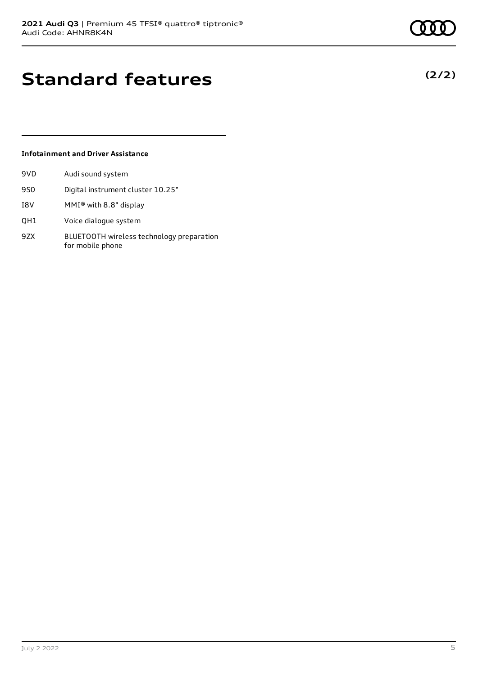**(2/2)**

# **Standard features**

#### **Infotainment and Driver Assistance**

| 9VD | Audi sound system                                             |
|-----|---------------------------------------------------------------|
| 9S0 | Digital instrument cluster 10.25"                             |
| I8V | MMI® with 8.8" display                                        |
| QH1 | Voice dialogue system                                         |
| 9ZX | BLUETOOTH wireless technology preparation<br>for mobile phone |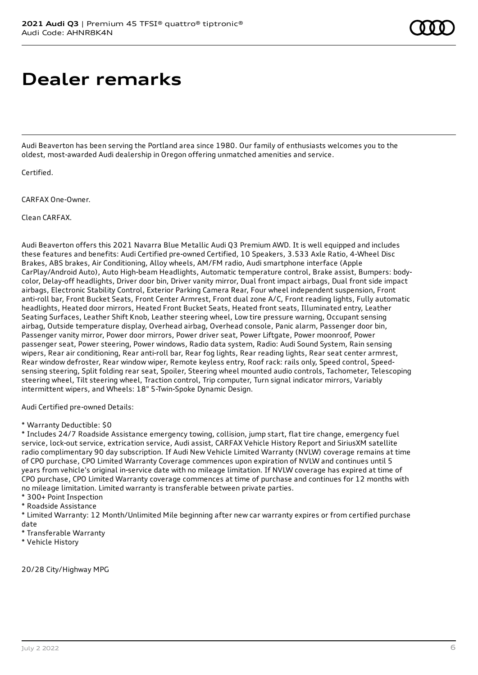# **Dealer remarks**

Audi Beaverton has been serving the Portland area since 1980. Our family of enthusiasts welcomes you to the oldest, most-awarded Audi dealership in Oregon offering unmatched amenities and service.

Certified.

CARFAX One-Owner.

Clean CARFAX.

Audi Beaverton offers this 2021 Navarra Blue Metallic Audi Q3 Premium AWD. It is well equipped and includes these features and benefits: Audi Certified pre-owned Certified, 10 Speakers, 3.533 Axle Ratio, 4-Wheel Disc Brakes, ABS brakes, Air Conditioning, Alloy wheels, AM/FM radio, Audi smartphone interface (Apple CarPlay/Android Auto), Auto High-beam Headlights, Automatic temperature control, Brake assist, Bumpers: bodycolor, Delay-off headlights, Driver door bin, Driver vanity mirror, Dual front impact airbags, Dual front side impact airbags, Electronic Stability Control, Exterior Parking Camera Rear, Four wheel independent suspension, Front anti-roll bar, Front Bucket Seats, Front Center Armrest, Front dual zone A/C, Front reading lights, Fully automatic headlights, Heated door mirrors, Heated Front Bucket Seats, Heated front seats, Illuminated entry, Leather Seating Surfaces, Leather Shift Knob, Leather steering wheel, Low tire pressure warning, Occupant sensing airbag, Outside temperature display, Overhead airbag, Overhead console, Panic alarm, Passenger door bin, Passenger vanity mirror, Power door mirrors, Power driver seat, Power Liftgate, Power moonroof, Power passenger seat, Power steering, Power windows, Radio data system, Radio: Audi Sound System, Rain sensing wipers, Rear air conditioning, Rear anti-roll bar, Rear fog lights, Rear reading lights, Rear seat center armrest, Rear window defroster, Rear window wiper, Remote keyless entry, Roof rack: rails only, Speed control, Speedsensing steering, Split folding rear seat, Spoiler, Steering wheel mounted audio controls, Tachometer, Telescoping steering wheel, Tilt steering wheel, Traction control, Trip computer, Turn signal indicator mirrors, Variably intermittent wipers, and Wheels: 18" 5-Twin-Spoke Dynamic Design.

Audi Certified pre-owned Details:

\* Warranty Deductible: \$0

\* Includes 24/7 Roadside Assistance emergency towing, collision, jump start, flat tire change, emergency fuel service, lock-out service, extrication service, Audi assist, CARFAX Vehicle History Report and SiriusXM satellite radio complimentary 90 day subscription. If Audi New Vehicle Limited Warranty (NVLW) coverage remains at time of CPO purchase, CPO Limited Warranty Coverage commences upon expiration of NVLW and continues until 5 years from vehicle's original in-service date with no mileage limitation. If NVLW coverage has expired at time of CPO purchase, CPO Limited Warranty coverage commences at time of purchase and continues for 12 months with no mileage limitation. Limited warranty is transferable between private parties.

- \* 300+ Point Inspection
- \* Roadside Assistance

\* Limited Warranty: 12 Month/Unlimited Mile beginning after new car warranty expires or from certified purchase date

- \* Transferable Warranty
- \* Vehicle History

20/28 City/Highway MPG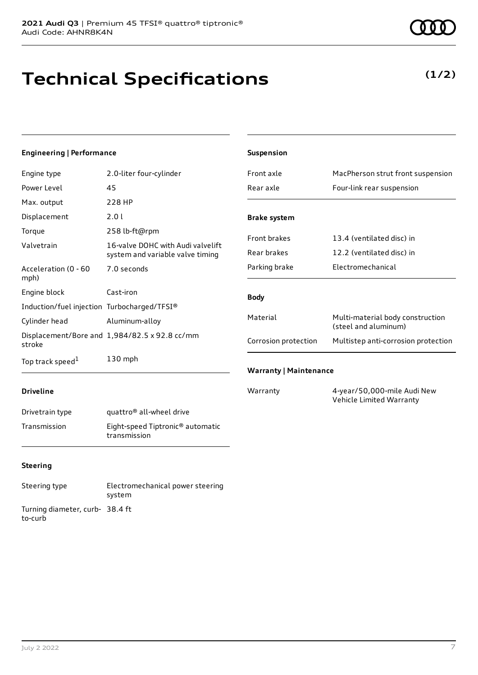# **Technical Specifications**

**(1/2)**

#### **Engineering | Performance**

| Engine type                                 | 2.0-liter four-cylinder                                               |
|---------------------------------------------|-----------------------------------------------------------------------|
| Power Level                                 | 45                                                                    |
| Max. output                                 | 228 HP                                                                |
| Displacement                                | 2.0 l                                                                 |
| Torque                                      | 258 lb-ft@rpm                                                         |
| Valvetrain                                  | 16-valve DOHC with Audi valvelift<br>system and variable valve timing |
| Acceleration (0 - 60<br>mph)                | 7.0 seconds                                                           |
| Engine block                                | Cast-iron                                                             |
| Induction/fuel injection Turbocharged/TFSI® |                                                                       |
| Cylinder head                               | Aluminum-alloy                                                        |
| stroke                                      | Displacement/Bore and 1,984/82.5 x 92.8 cc/mm                         |
| Top track speed <sup>1</sup>                | $130$ mph                                                             |

| <b>Suspension</b>             |                                                          |
|-------------------------------|----------------------------------------------------------|
| Front axle                    | MacPherson strut front suspension                        |
| Rear axle                     | Four-link rear suspension                                |
| <b>Brake system</b>           |                                                          |
| <b>Front brakes</b>           | 13.4 (ventilated disc) in                                |
| Rear brakes                   | 12.2 (ventilated disc) in                                |
| Parking brake                 | Electromechanical                                        |
| <b>Body</b>                   |                                                          |
| Material                      | Multi-material body construction<br>(steel and aluminum) |
| Corrosion protection          | Multistep anti-corrosion protection                      |
| <b>Warranty   Maintenance</b> |                                                          |
| Warranty                      | 4-year/50,000-mile Audi New                              |

Vehicle Limited Warranty

#### **Driveline**

| Drivetrain type | quattro <sup>®</sup> all-wheel drive                         |
|-----------------|--------------------------------------------------------------|
| Transmission    | Eight-speed Tiptronic <sup>®</sup> automatic<br>transmission |

#### **Steering**

Steering type Electromechanical power steering system Turning diameter, curb-38.4 ft to-curb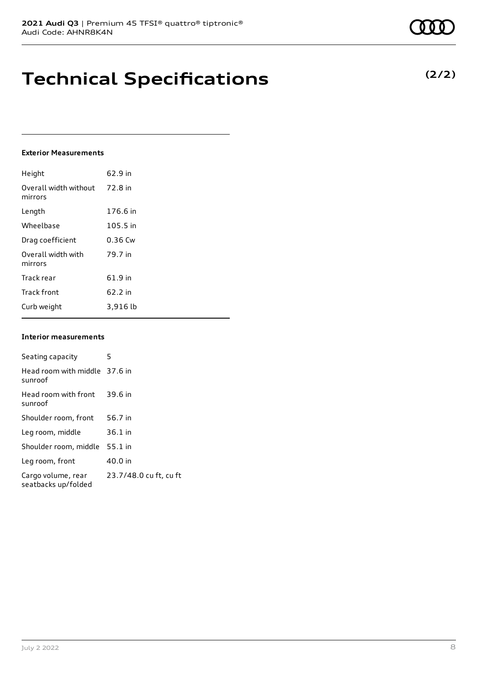### **Technical Specifications**

#### **Exterior Measurements**

| Height                           | 62.9 in   |
|----------------------------------|-----------|
| Overall width without<br>mirrors | 72.8 in   |
| Length                           | 176.6 in  |
| Wheelbase                        | 105.5 in  |
| Drag coefficient                 | $0.36$ Cw |
| Overall width with<br>mirrors    | 79.7 in   |
| Track rear                       | 61.9 in   |
| <b>Track front</b>               | 62.2 in   |
| Curb weight                      | 3,916 lb  |

#### **Interior measurements**

| Seating capacity                          | 5                      |
|-------------------------------------------|------------------------|
| Head room with middle 37.6 in<br>sunroof  |                        |
| Head room with front<br>sunroof           | 39.6 in                |
| Shoulder room, front                      | 56.7 in                |
| Leg room, middle                          | $36.1$ in              |
| Shoulder room, middle                     | $55.1$ in              |
| Leg room, front                           | 40.0 in                |
| Cargo volume, rear<br>seatbacks up/folded | 23.7/48.0 cu ft, cu ft |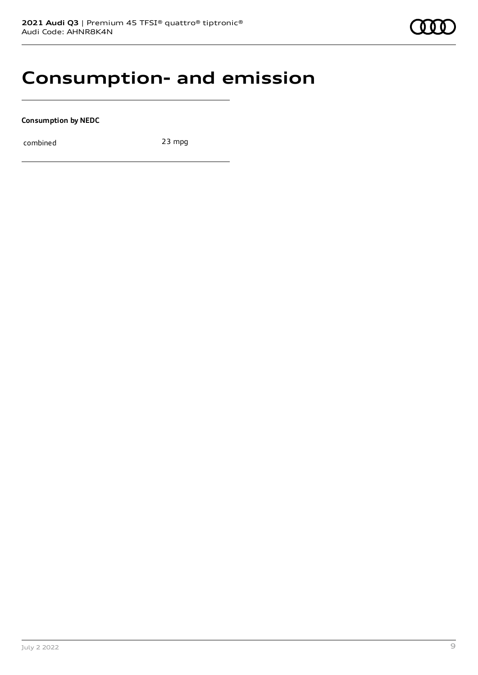### **Consumption- and emission**

**Consumption by NEDC**

combined 23 mpg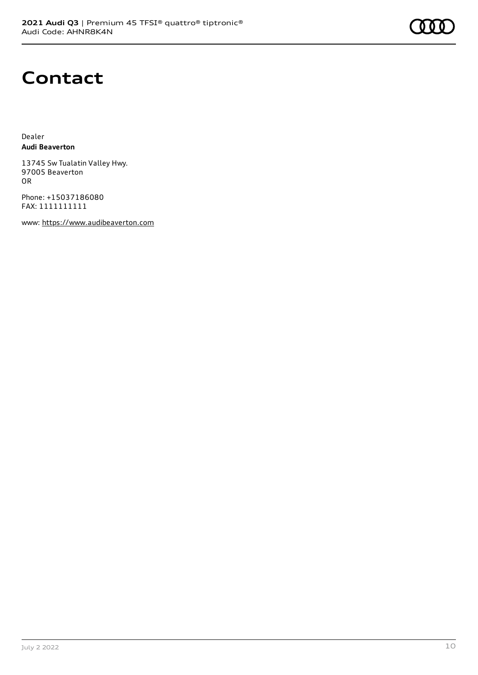### **Contact**

Dealer **Audi Beaverton**

13745 Sw Tualatin Valley Hwy. 97005 Beaverton OR

Phone: +15037186080 FAX: 1111111111

www: [https://www.audibeaverton.com](https://www.audibeaverton.com/)